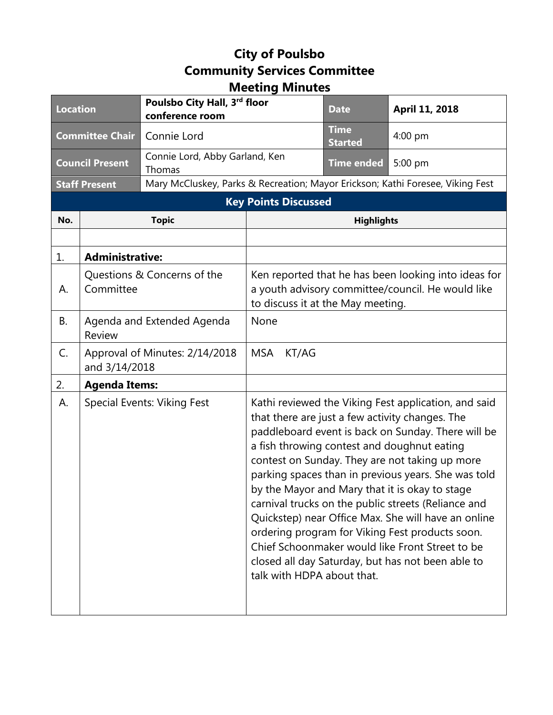## **City of Poulsbo Community Services Committee Meeting Minutes**

| <b>Location</b>             |                                                 | Poulsbo City Hall, 3rd floor<br>conference room                                |                                                                                                                                                                                                                                                                                                                                                                                                                                                                                                                                                                                                                                                                                | <b>Date</b>                   | April 11, 2018 |
|-----------------------------|-------------------------------------------------|--------------------------------------------------------------------------------|--------------------------------------------------------------------------------------------------------------------------------------------------------------------------------------------------------------------------------------------------------------------------------------------------------------------------------------------------------------------------------------------------------------------------------------------------------------------------------------------------------------------------------------------------------------------------------------------------------------------------------------------------------------------------------|-------------------------------|----------------|
| <b>Committee Chair</b>      |                                                 | Connie Lord                                                                    |                                                                                                                                                                                                                                                                                                                                                                                                                                                                                                                                                                                                                                                                                | <b>Time</b><br><b>Started</b> | 4:00 pm        |
| <b>Council Present</b>      |                                                 | Connie Lord, Abby Garland, Ken<br>Thomas                                       |                                                                                                                                                                                                                                                                                                                                                                                                                                                                                                                                                                                                                                                                                | <b>Time ended</b>             | 5:00 pm        |
| <b>Staff Present</b>        |                                                 | Mary McCluskey, Parks & Recreation; Mayor Erickson; Kathi Foresee, Viking Fest |                                                                                                                                                                                                                                                                                                                                                                                                                                                                                                                                                                                                                                                                                |                               |                |
| <b>Key Points Discussed</b> |                                                 |                                                                                |                                                                                                                                                                                                                                                                                                                                                                                                                                                                                                                                                                                                                                                                                |                               |                |
| No.                         |                                                 | <b>Topic</b>                                                                   |                                                                                                                                                                                                                                                                                                                                                                                                                                                                                                                                                                                                                                                                                | <b>Highlights</b>             |                |
|                             |                                                 |                                                                                |                                                                                                                                                                                                                                                                                                                                                                                                                                                                                                                                                                                                                                                                                |                               |                |
| 1.                          | <b>Administrative:</b>                          |                                                                                |                                                                                                                                                                                                                                                                                                                                                                                                                                                                                                                                                                                                                                                                                |                               |                |
| А.                          | Questions & Concerns of the<br>Committee        |                                                                                | Ken reported that he has been looking into ideas for<br>a youth advisory committee/council. He would like<br>to discuss it at the May meeting.                                                                                                                                                                                                                                                                                                                                                                                                                                                                                                                                 |                               |                |
| В.                          | Agenda and Extended Agenda<br>Review            |                                                                                | None                                                                                                                                                                                                                                                                                                                                                                                                                                                                                                                                                                                                                                                                           |                               |                |
| C.                          | Approval of Minutes: 2/14/2018<br>and 3/14/2018 |                                                                                | <b>MSA</b><br>KT/AG                                                                                                                                                                                                                                                                                                                                                                                                                                                                                                                                                                                                                                                            |                               |                |
| 2.                          | <b>Agenda Items:</b>                            |                                                                                |                                                                                                                                                                                                                                                                                                                                                                                                                                                                                                                                                                                                                                                                                |                               |                |
| А.                          | <b>Special Events: Viking Fest</b>              |                                                                                | Kathi reviewed the Viking Fest application, and said<br>that there are just a few activity changes. The<br>paddleboard event is back on Sunday. There will be<br>a fish throwing contest and doughnut eating<br>contest on Sunday. They are not taking up more<br>parking spaces than in previous years. She was told<br>by the Mayor and Mary that it is okay to stage<br>carnival trucks on the public streets (Reliance and<br>Quickstep) near Office Max. She will have an online<br>ordering program for Viking Fest products soon.<br>Chief Schoonmaker would like Front Street to be<br>closed all day Saturday, but has not been able to<br>talk with HDPA about that. |                               |                |